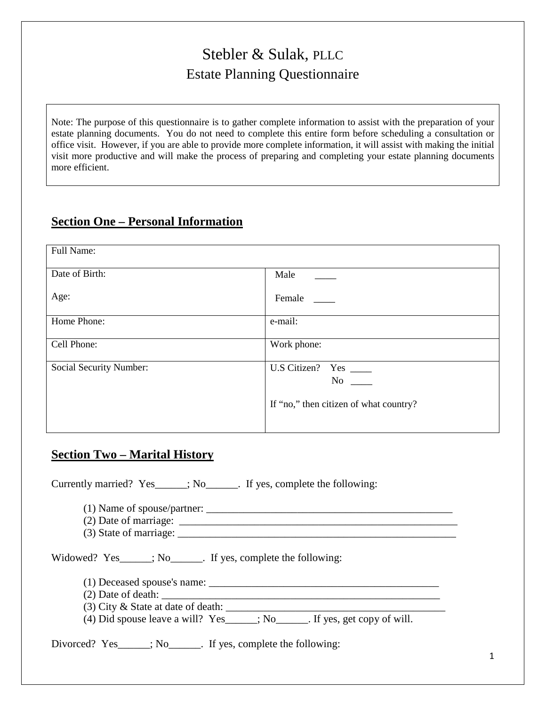# Stebler & Sulak, PLLC Estate Planning Questionnaire

Note: The purpose of this questionnaire is to gather complete information to assist with the preparation of your estate planning documents. You do not need to complete this entire form before scheduling a consultation or office visit. However, if you are able to provide more complete information, it will assist with making the initial visit more productive and will make the process of preparing and completing your estate planning documents more efficient.

# **Section One – Personal Information**

| Full Name:              |                                                                                                                                                                                                                                                                                                         |
|-------------------------|---------------------------------------------------------------------------------------------------------------------------------------------------------------------------------------------------------------------------------------------------------------------------------------------------------|
| Date of Birth:          | Male                                                                                                                                                                                                                                                                                                    |
| Age:                    | Female                                                                                                                                                                                                                                                                                                  |
| Home Phone:             | e-mail:                                                                                                                                                                                                                                                                                                 |
| Cell Phone:             | Work phone:                                                                                                                                                                                                                                                                                             |
| Social Security Number: | U.S Citizen? Yes _______<br>No new years of the New York of the New York of the New York of the New York of the New York of the New York o<br>New York of the New York of the New York of the New York of the New York of the New York of the New York of the<br>If "no," then citizen of what country? |

# **Section Two – Marital History**

Currently married? Yes\_\_\_\_\_\_; No\_\_\_\_\_\_. If yes, complete the following:

(1) Name of spouse/partner: \_\_\_\_\_\_\_\_\_\_\_\_\_\_\_\_\_\_\_\_\_\_\_\_\_\_\_\_\_\_\_\_\_\_\_\_\_\_\_\_\_\_\_\_\_\_

(2) Date of marriage:  $\frac{1}{2}$  marriage:  $\frac{1}{2}$  marriage:  $\frac{1}{2}$  marriage:  $\frac{1}{2}$  marriage:  $\frac{1}{2}$  marriage:  $\frac{1}{2}$  marriage:  $\frac{1}{2}$  marriage:  $\frac{1}{2}$  marriage:  $\frac{1}{2}$  marriage:  $\frac{1}{2}$  marriage:

 $(3)$  State of marriage:

Widowed? Yes\_\_\_\_\_; No\_\_\_\_\_\_. If yes, complete the following:

(1) Deceased spouse's name: \_\_\_\_\_\_\_\_\_\_\_\_\_\_\_\_\_\_\_\_\_\_\_\_\_\_\_\_\_\_\_\_\_\_\_\_\_\_\_\_\_\_\_

- $(2)$  Date of death:
- $(3)$  City & State at date of death:  $\frac{1}{\sqrt{2}}$

(4) Did spouse leave a will?  $Yes_{\_}$ ; No<sub>\_\_\_\_\_\_</sub>. If yes, get copy of will.

Divorced? Yes  $\therefore$  No  $\therefore$  If yes, complete the following: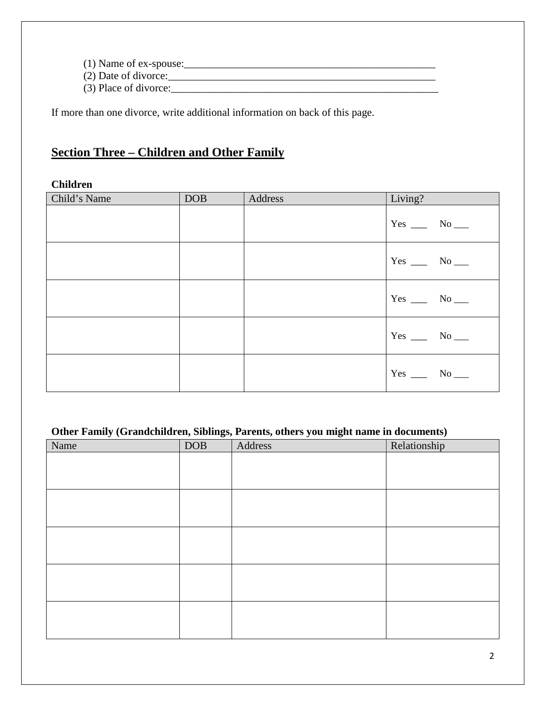(1) Name of ex-spouse:\_\_\_\_\_\_\_\_\_\_\_\_\_\_\_\_\_\_\_\_\_\_\_\_\_\_\_\_\_\_\_\_\_\_\_\_\_\_\_\_\_\_\_\_\_\_\_

 $(2)$  Date of divorce: $\frac{1}{2}$ 

(3) Place of divorce:\_\_\_\_\_\_\_\_\_\_\_\_\_\_\_\_\_\_\_\_\_\_\_\_\_\_\_\_\_\_\_\_\_\_\_\_\_\_\_\_\_\_\_\_\_\_\_\_\_\_

If more than one divorce, write additional information on back of this page.

# **Section Three – Children and Other Family**

### **Children**

| Child's Name | <b>DOB</b> | Address | Living?                    |
|--------------|------------|---------|----------------------------|
|              |            |         | Yes $\_\_\_\$ No $\_\_\_\$ |
|              |            |         | $Yes \_\_ No \_\_$         |
|              |            |         | Yes $\_\_\_\$ No $\_\_\_\$ |
|              |            |         | $Yes \_\_ No \_\_$         |
|              |            |         | Yes $\_\_\_\$ No $\_\_\_\$ |

### **Other Family (Grandchildren, Siblings, Parents, others you might name in documents)**

| Name | DOB | Address | Relationship |
|------|-----|---------|--------------|
|      |     |         |              |
|      |     |         |              |
|      |     |         |              |
|      |     |         |              |
|      |     |         |              |
|      |     |         |              |
|      |     |         |              |
|      |     |         |              |
|      |     |         |              |
|      |     |         |              |
|      |     |         |              |
|      |     |         |              |
|      |     |         |              |
|      |     |         |              |
|      |     |         |              |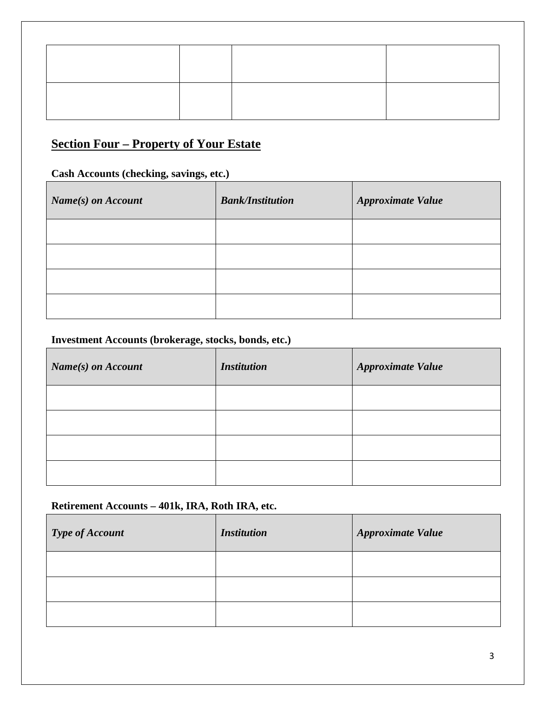# **Section Four – Property of Your Estate**

### **Cash Accounts (checking, savings, etc.)**

| Name(s) on Account | <b>Bank/Institution</b> | <b>Approximate Value</b> |
|--------------------|-------------------------|--------------------------|
|                    |                         |                          |
|                    |                         |                          |
|                    |                         |                          |
|                    |                         |                          |

### **Investment Accounts (brokerage, stocks, bonds, etc.)**

| Name(s) on Account | <b>Institution</b> | Approximate Value |
|--------------------|--------------------|-------------------|
|                    |                    |                   |
|                    |                    |                   |
|                    |                    |                   |
|                    |                    |                   |

### **Retirement Accounts – 401k, IRA, Roth IRA, etc.**

| <b>Type of Account</b> | <b>Institution</b> | <b>Approximate Value</b> |
|------------------------|--------------------|--------------------------|
|                        |                    |                          |
|                        |                    |                          |
|                        |                    |                          |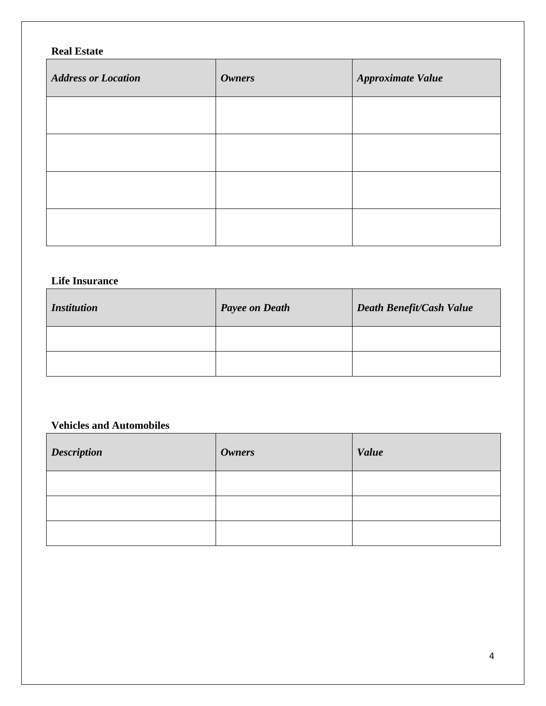# **Real Estate**

| <b>Address or Location</b> | <b>Owners</b> | <b>Approximate Value</b> |
|----------------------------|---------------|--------------------------|
|                            |               |                          |
|                            |               |                          |
|                            |               |                          |
|                            |               |                          |

### **Life Insurance**

| <i>Institution</i> | <b>Payee on Death</b> | <b>Death Benefit/Cash Value</b> |
|--------------------|-----------------------|---------------------------------|
|                    |                       |                                 |
|                    |                       |                                 |

### **Vehicles and Automobiles**

| <b>Description</b> | <i><b>Owners</b></i> | <b>Value</b> |
|--------------------|----------------------|--------------|
|                    |                      |              |
|                    |                      |              |
|                    |                      |              |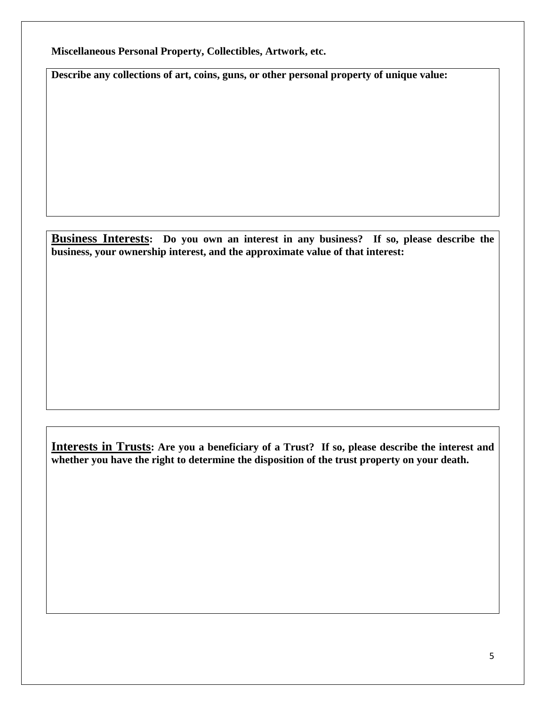**Miscellaneous Personal Property, Collectibles, Artwork, etc.** 

**Describe any collections of art, coins, guns, or other personal property of unique value:** 

**Business Interests: Do you own an interest in any business? If so, please describe the business, your ownership interest, and the approximate value of that interest:** 

**Interests in Trusts: Are you a beneficiary of a Trust? If so, please describe the interest and whether you have the right to determine the disposition of the trust property on your death.**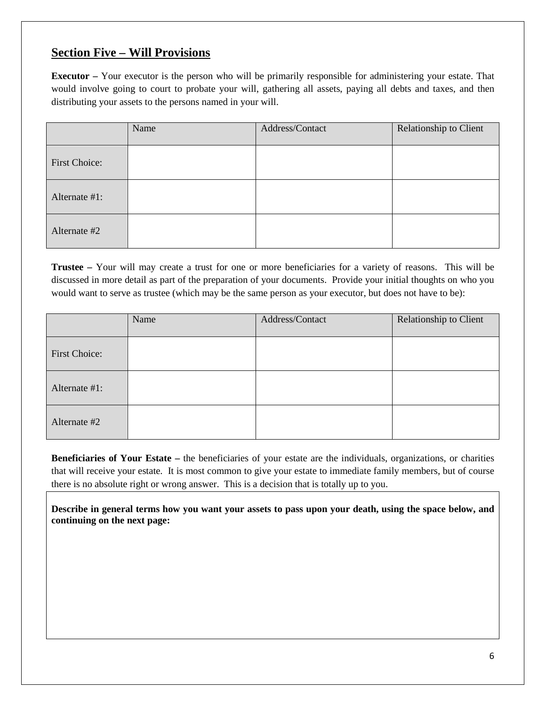### **Section Five – Will Provisions**

**Executor –** Your executor is the person who will be primarily responsible for administering your estate. That would involve going to court to probate your will, gathering all assets, paying all debts and taxes, and then distributing your assets to the persons named in your will.

|                      | Name | Address/Contact | Relationship to Client |
|----------------------|------|-----------------|------------------------|
| <b>First Choice:</b> |      |                 |                        |
| Alternate #1:        |      |                 |                        |
| Alternate #2         |      |                 |                        |

**Trustee –** Your will may create a trust for one or more beneficiaries for a variety of reasons. This will be discussed in more detail as part of the preparation of your documents. Provide your initial thoughts on who you would want to serve as trustee (which may be the same person as your executor, but does not have to be):

|                      | Name | Address/Contact | Relationship to Client |
|----------------------|------|-----------------|------------------------|
| <b>First Choice:</b> |      |                 |                        |
| Alternate #1:        |      |                 |                        |
| Alternate #2         |      |                 |                        |

**Beneficiaries of Your Estate –** the beneficiaries of your estate are the individuals, organizations, or charities that will receive your estate. It is most common to give your estate to immediate family members, but of course there is no absolute right or wrong answer. This is a decision that is totally up to you.

**Describe in general terms how you want your assets to pass upon your death, using the space below, and continuing on the next page:**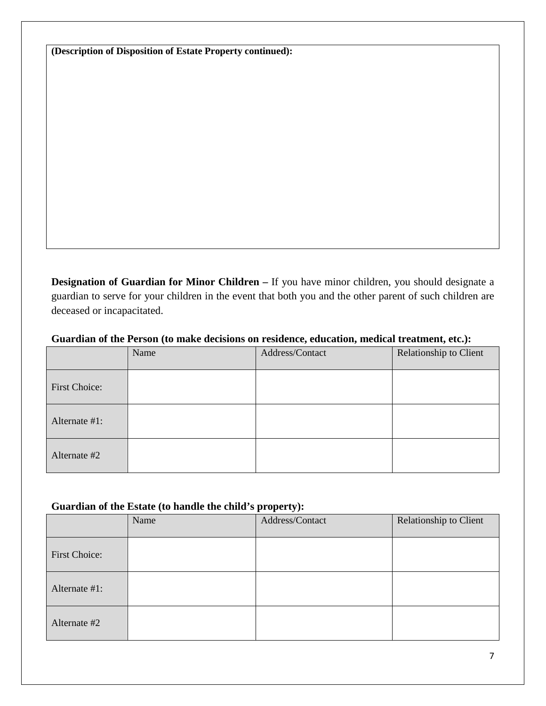**(Description of Disposition of Estate Property continued):** 

**Designation of Guardian for Minor Children –** If you have minor children, you should designate a guardian to serve for your children in the event that both you and the other parent of such children are deceased or incapacitated.

#### **Guardian of the Person (to make decisions on residence, education, medical treatment, etc.):**

|                      | Name | Address/Contact | Relationship to Client |
|----------------------|------|-----------------|------------------------|
| <b>First Choice:</b> |      |                 |                        |
| Alternate #1:        |      |                 |                        |
| Alternate #2         |      |                 |                        |

### **Guardian of the Estate (to handle the child's property):**

|                      | Name | Address/Contact | Relationship to Client |
|----------------------|------|-----------------|------------------------|
| <b>First Choice:</b> |      |                 |                        |
| Alternate #1:        |      |                 |                        |
| Alternate #2         |      |                 |                        |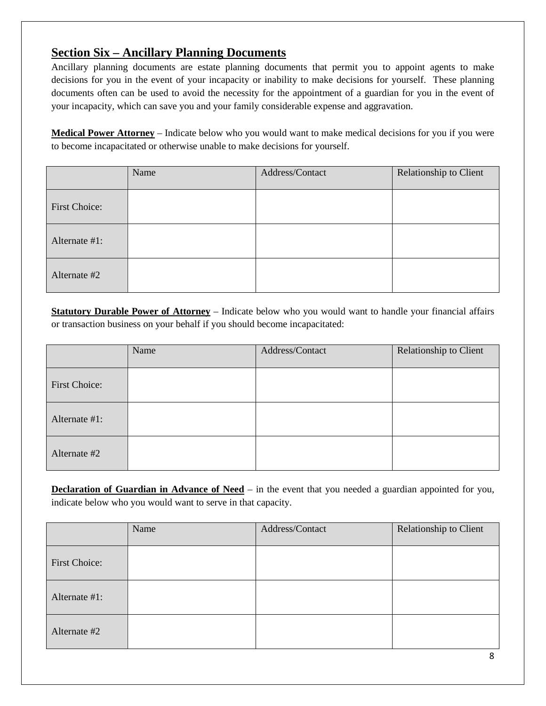# **Section Six – Ancillary Planning Documents**

Ancillary planning documents are estate planning documents that permit you to appoint agents to make decisions for you in the event of your incapacity or inability to make decisions for yourself. These planning documents often can be used to avoid the necessity for the appointment of a guardian for you in the event of your incapacity, which can save you and your family considerable expense and aggravation.

**Medical Power Attorney** – Indicate below who you would want to make medical decisions for you if you were to become incapacitated or otherwise unable to make decisions for yourself.

|                      | Name | Address/Contact | Relationship to Client |
|----------------------|------|-----------------|------------------------|
| <b>First Choice:</b> |      |                 |                        |
| Alternate #1:        |      |                 |                        |
| Alternate #2         |      |                 |                        |

**Statutory Durable Power of Attorney** – Indicate below who you would want to handle your financial affairs or transaction business on your behalf if you should become incapacitated:

|                      | Name | Address/Contact | Relationship to Client |
|----------------------|------|-----------------|------------------------|
| <b>First Choice:</b> |      |                 |                        |
| Alternate #1:        |      |                 |                        |
| Alternate #2         |      |                 |                        |

**Declaration of Guardian in Advance of Need** – in the event that you needed a guardian appointed for you, indicate below who you would want to serve in that capacity.

|                      | Name | Address/Contact | Relationship to Client |
|----------------------|------|-----------------|------------------------|
| <b>First Choice:</b> |      |                 |                        |
| Alternate #1:        |      |                 |                        |
| Alternate #2         |      |                 |                        |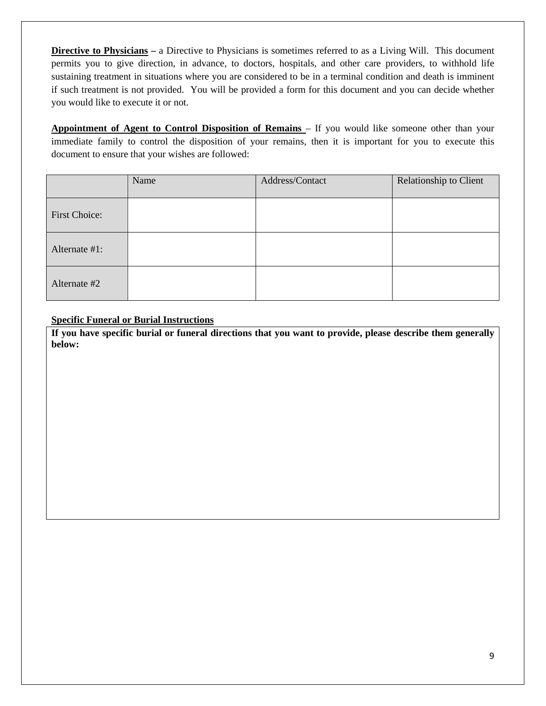**Directive to Physicians –** a Directive to Physicians is sometimes referred to as a Living Will. This document permits you to give direction, in advance, to doctors, hospitals, and other care providers, to withhold life sustaining treatment in situations where you are considered to be in a terminal condition and death is imminent if such treatment is not provided. You will be provided a form for this document and you can decide whether you would like to execute it or not.

**Appointment of Agent to Control Disposition of Remains** – If you would like someone other than your immediate family to control the disposition of your remains, then it is important for you to execute this document to ensure that your wishes are followed:

|                      | Name | Address/Contact | Relationship to Client |
|----------------------|------|-----------------|------------------------|
| <b>First Choice:</b> |      |                 |                        |
| Alternate #1:        |      |                 |                        |
| Alternate #2         |      |                 |                        |

#### **Specific Funeral or Burial Instructions**

**If you have specific burial or funeral directions that you want to provide, please describe them generally below:**